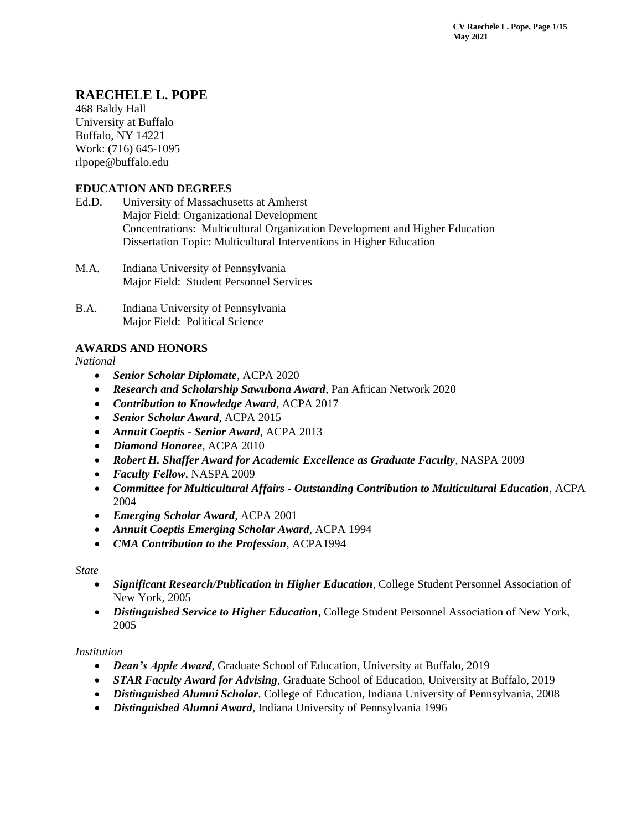# **RAECHELE L. POPE**

468 Baldy Hall University at Buffalo Buffalo, NY 14221 Work: (716) 645-1095 rlpope@buffalo.edu

## **EDUCATION AND DEGREES**

- Ed.D. University of Massachusetts at Amherst Major Field: Organizational Development Concentrations: Multicultural Organization Development and Higher Education Dissertation Topic: Multicultural Interventions in Higher Education
- M.A. Indiana University of Pennsylvania Major Field: Student Personnel Services
- B.A. Indiana University of Pennsylvania Major Field: Political Science

## **AWARDS AND HONORS**

*National*

- *Senior Scholar Diplomate*, ACPA 2020
- *Research and Scholarship Sawubona Award*, Pan African Network 2020
- *Contribution to Knowledge Award*, ACPA 2017
- *Senior Scholar Award*, ACPA 2015
- *Annuit Coeptis - Senior Award*, ACPA 2013
- *Diamond Honoree*, ACPA 2010
- *Robert H. Shaffer Award for Academic Excellence as Graduate Faculty*, NASPA 2009
- *Faculty Fellow*, NASPA 2009
- *Committee for Multicultural Affairs - Outstanding Contribution to Multicultural Education*, ACPA 2004
- *Emerging Scholar Award*, ACPA 2001
- *Annuit Coeptis Emerging Scholar Award*, ACPA 1994
- *CMA Contribution to the Profession*, ACPA1994

## *State*

- *Significant Research/Publication in Higher Education*, College Student Personnel Association of New York, 2005
- *Distinguished Service to Higher Education*, College Student Personnel Association of New York, 2005

## *Institution*

- *Dean's Apple Award*, Graduate School of Education, University at Buffalo, 2019
- *STAR Faculty Award for Advising*, Graduate School of Education, University at Buffalo, 2019
- *Distinguished Alumni Scholar*, College of Education, Indiana University of Pennsylvania, 2008
- *Distinguished Alumni Award*, Indiana University of Pennsylvania 1996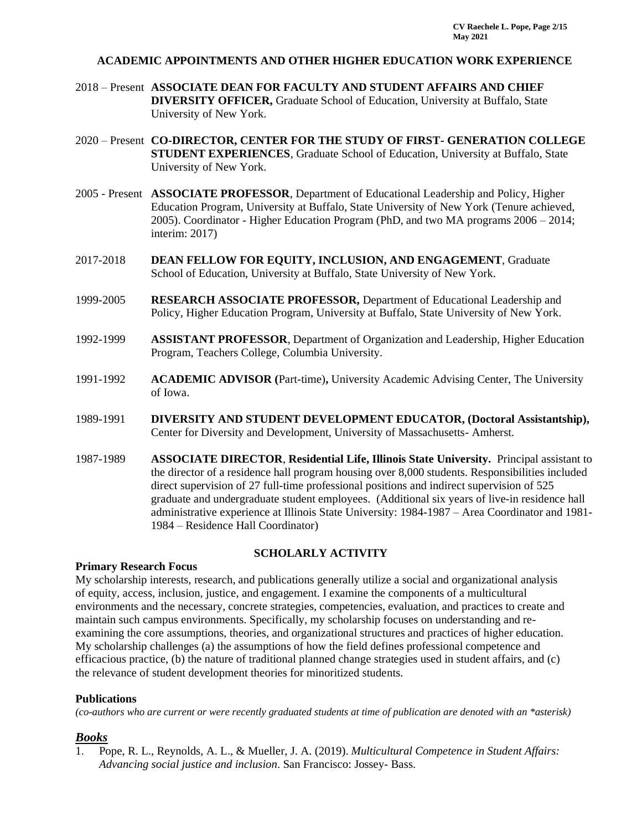### **ACADEMIC APPOINTMENTS AND OTHER HIGHER EDUCATION WORK EXPERIENCE**

- 2018 Present **ASSOCIATE DEAN FOR FACULTY AND STUDENT AFFAIRS AND CHIEF DIVERSITY OFFICER,** Graduate School of Education, University at Buffalo, State University of New York.
- 2020 Present **CO-DIRECTOR, CENTER FOR THE STUDY OF FIRST- GENERATION COLLEGE STUDENT EXPERIENCES**, Graduate School of Education, University at Buffalo, State University of New York.
- 2005 Present **ASSOCIATE PROFESSOR**, Department of Educational Leadership and Policy, Higher Education Program, University at Buffalo, State University of New York (Tenure achieved, 2005). Coordinator - Higher Education Program (PhD, and two MA programs 2006 – 2014; interim: 2017)
- 2017-2018 **DEAN FELLOW FOR EQUITY, INCLUSION, AND ENGAGEMENT**, Graduate School of Education, University at Buffalo, State University of New York.
- 1999-2005 **RESEARCH ASSOCIATE PROFESSOR,** Department of Educational Leadership and Policy, Higher Education Program, University at Buffalo, State University of New York.
- 1992-1999 **ASSISTANT PROFESSOR**, Department of Organization and Leadership, Higher Education Program, Teachers College, Columbia University.
- 1991-1992 **ACADEMIC ADVISOR (**Part-time)**,** University Academic Advising Center, The University of Iowa.
- 1989-1991 **DIVERSITY AND STUDENT DEVELOPMENT EDUCATOR, (Doctoral Assistantship),** Center for Diversity and Development, University of Massachusetts- Amherst.
- 1987-1989 **ASSOCIATE DIRECTOR**, **Residential Life, Illinois State University.** Principal assistant to the director of a residence hall program housing over 8,000 students. Responsibilities included direct supervision of 27 full-time professional positions and indirect supervision of 525 graduate and undergraduate student employees. (Additional six years of live-in residence hall administrative experience at Illinois State University: 1984-1987 – Area Coordinator and 1981- 1984 – Residence Hall Coordinator)

### **SCHOLARLY ACTIVITY**

### **Primary Research Focus**

My scholarship interests, research, and publications generally utilize a social and organizational analysis of equity, access, inclusion, justice, and engagement. I examine the components of a multicultural environments and the necessary, concrete strategies, competencies, evaluation, and practices to create and maintain such campus environments. Specifically, my scholarship focuses on understanding and reexamining the core assumptions, theories, and organizational structures and practices of higher education. My scholarship challenges (a) the assumptions of how the field defines professional competence and efficacious practice, (b) the nature of traditional planned change strategies used in student affairs, and (c) the relevance of student development theories for minoritized students.

### **Publications**

*(co-authors who are current or were recently graduated students at time of publication are denoted with an \*asterisk)* 

### *Books*

1. Pope, R. L., Reynolds, A. L., & Mueller, J. A. (2019). *Multicultural Competence in Student Affairs: Advancing social justice and inclusion*. San Francisco: Jossey- Bass.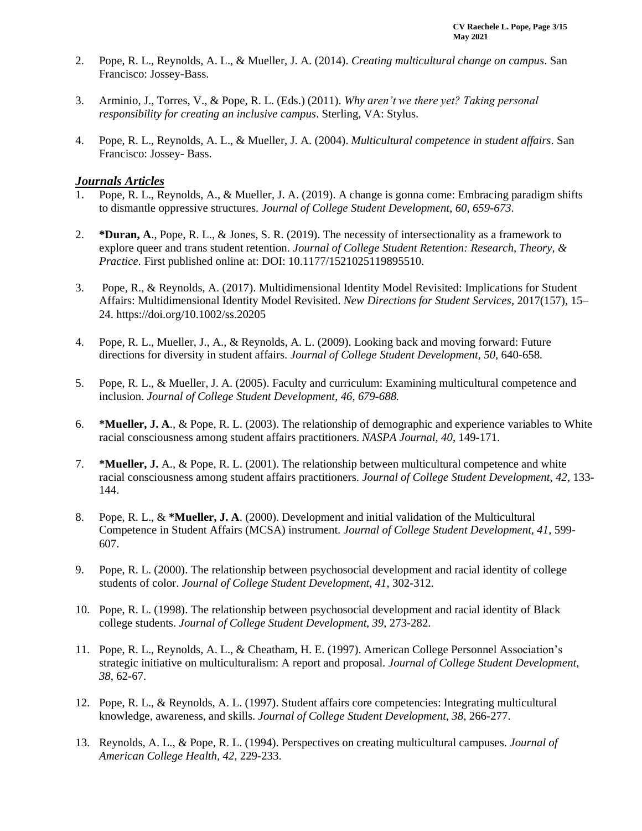- 2. Pope, R. L., Reynolds, A. L., & Mueller, J. A. (2014). *Creating multicultural change on campus*. San Francisco: Jossey-Bass.
- 3. Arminio, J., Torres, V., & Pope, R. L. (Eds.) (2011). *Why aren't we there yet? Taking personal responsibility for creating an inclusive campus*. Sterling, VA: Stylus.
- 4. Pope, R. L., Reynolds, A. L., & Mueller, J. A. (2004). *Multicultural competence in student affairs*. San Francisco: Jossey- Bass.

### *Journals Articles*

- 1. Pope, R. L., Reynolds, A., & Mueller, J. A. (2019). A change is gonna come: Embracing paradigm shifts to dismantle oppressive structures. *Journal of College Student Development*, *60, 659-673*.
- 2. **\*Duran, A**., Pope, R. L., & Jones, S. R. (2019). The necessity of intersectionality as a framework to explore queer and trans student retention. *Journal of College Student Retention: Research, Theory, & Practice.* First published online at: DOI: 10.1177/1521025119895510.
- 3. Pope, R., & Reynolds, A. (2017). Multidimensional Identity Model Revisited: Implications for Student Affairs: Multidimensional Identity Model Revisited. *New Directions for Student Services*, 2017(157), 15– 24. https://doi.org/10.1002/ss.20205
- 4. Pope, R. L., Mueller, J., A., & Reynolds, A. L. (2009). Looking back and moving forward: Future directions for diversity in student affairs. *Journal of College Student Development*, 50, 640-658.
- 5. Pope, R. L., & Mueller, J. A. (2005). Faculty and curriculum: Examining multicultural competence and inclusion. *Journal of College Student Development*, *46, 679-688.*
- 6. **\*Mueller, J. A**., & Pope, R. L. (2003). The relationship of demographic and experience variables to White racial consciousness among student affairs practitioners. *NASPA Journal, 40*, 149-171.
- 7. **\*Mueller, J.** A., & Pope, R. L. (2001). The relationship between multicultural competence and white racial consciousness among student affairs practitioners. *Journal of College Student Development, 42*, 133- 144.
- 8. Pope, R. L., & **\*Mueller, J. A**. (2000). Development and initial validation of the Multicultural Competence in Student Affairs (MCSA) instrument. *Journal of College Student Development, 41*, 599- 607.
- 9. Pope, R. L. (2000). The relationship between psychosocial development and racial identity of college students of color. *Journal of College Student Development, 41*, 302-312.
- 10. Pope, R. L. (1998). The relationship between psychosocial development and racial identity of Black college students. *Journal of College Student Development, 39*, 273-282.
- 11. Pope, R. L., Reynolds, A. L., & Cheatham, H. E. (1997). American College Personnel Association's strategic initiative on multiculturalism: A report and proposal. *Journal of College Student Development, 38*, 62-67.
- 12. Pope, R. L., & Reynolds, A. L. (1997). Student affairs core competencies: Integrating multicultural knowledge, awareness, and skills. *Journal of College Student Development, 38*, 266-277.
- 13. Reynolds, A. L., & Pope, R. L. (1994). Perspectives on creating multicultural campuses. *Journal of American College Health, 42*, 229-233.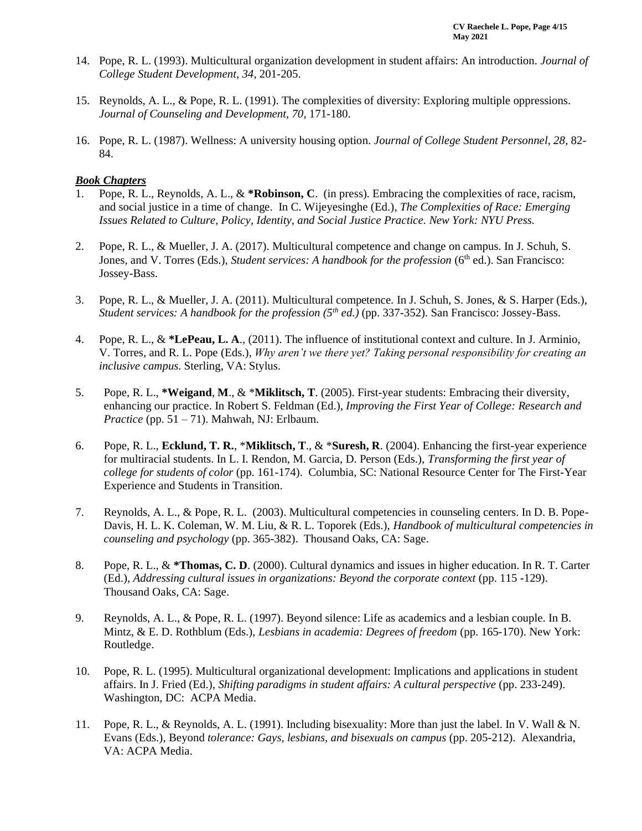- 14. Pope, R. L. (1993). Multicultural organization development in student affairs: An introduction. *Journal of College Student Development, 34*, 201-205.
- 15. Reynolds, A. L., & Pope, R. L. (1991). The complexities of diversity: Exploring multiple oppressions. *Journal of Counseling and Development, 70*, 171-180.
- 16. Pope, R. L. (1987). Wellness: A university housing option. *Journal of College Student Personnel, 28*, 82- 84.

#### *Book Chapters*

- 1. Pope, R. L., Reynolds, A. L., & **\*Robinson, C**. (in press). Embracing the complexities of race, racism, and social justice in a time of change. In C. Wijeyesinghe (Ed.), *The Complexities of Race: Emerging Issues Related to Culture, Policy, Identity, and Social Justice Practice. New York: NYU Press.*
- 2. Pope, R. L., & Mueller, J. A. (2017). Multicultural competence and change on campus. In J. Schuh, S. Jones, and V. Torres (Eds.), *Student services: A handbook for the profession* (6<sup>th</sup> ed.). San Francisco: Jossey-Bass.
- 3. Pope, R. L., & Mueller, J. A. (2011). Multicultural competence*.* In J. Schuh, S. Jones, & S. Harper (Eds.), *Student services: A handbook for the profession (5th ed.)* (pp. 337-352)*.* San Francisco: Jossey-Bass.
- 4. Pope, R. L., & **\*LePeau, L. A**., (2011). The influence of institutional context and culture. In J. Arminio, V. Torres, and R. L. Pope (Eds.), *Why aren't we there yet? Taking personal responsibility for creating an inclusive campus.* Sterling, VA: Stylus.
- 5. Pope, R. L., **\*Weigand**, **M**., & \***Miklitsch, T**. (2005). First-year students: Embracing their diversity, enhancing our practice. In Robert S. Feldman (Ed.), *Improving the First Year of College: Research and Practice* (pp. 51 – 71). Mahwah, NJ: Erlbaum.
- 6. Pope, R. L., **Ecklund, T. R.**, \***Miklitsch, T**., & \***Suresh, R**. (2004). Enhancing the first-year experience for multiracial students. In L. I. Rendon, M. Garcia, D. Person (Eds.), *Transforming the first year of college for students of color* (pp. 161-174). Columbia, SC: National Resource Center for The First-Year Experience and Students in Transition.
- 7. Reynolds, A. L., & Pope, R. L. (2003). Multicultural competencies in counseling centers. In D. B. Pope-Davis, H. L. K. Coleman, W. M. Liu, & R. L. Toporek (Eds.), *Handbook of multicultural competencies in counseling and psychology* (pp. 365-382). Thousand Oaks, CA: Sage.
- 8. Pope, R. L., & **\*Thomas, C. D**. (2000). Cultural dynamics and issues in higher education. In R. T. Carter (Ed.), *Addressing cultural issues in organizations: Beyond the corporate context* (pp. 115 -129). Thousand Oaks, CA: Sage.
- 9. Reynolds, A. L., & Pope, R. L. (1997). Beyond silence: Life as academics and a lesbian couple. In B. Mintz, & E. D. Rothblum (Eds.), *Lesbians in academia: Degrees of freedom* (pp. 165-170). New York: Routledge.
- 10. Pope, R. L. (1995). Multicultural organizational development: Implications and applications in student affairs. In J. Fried (Ed.), *Shifting paradigms in student affairs: A cultural perspective* (pp. 233-249). Washington, DC: ACPA Media.
- 11. Pope, R. L., & Reynolds, A. L. (1991). Including bisexuality: More than just the label. In V. Wall & N. Evans (Eds.), Beyond *tolerance: Gays, lesbians, and bisexuals on campus* (pp. 205-212). Alexandria, VA: ACPA Media.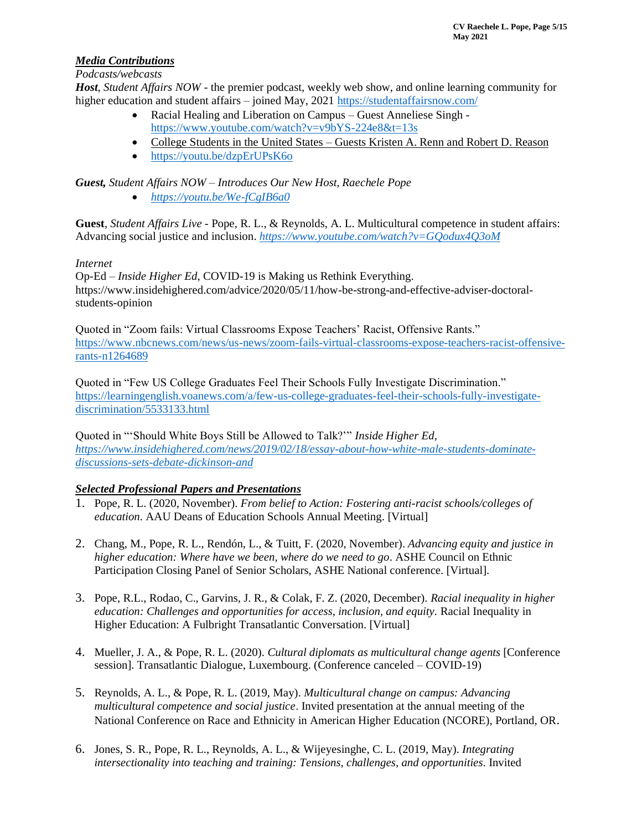## *Media Contributions*

*Podcasts/webcasts*

*Host*, *Student Affairs NOW* - the premier podcast, weekly web show, and online learning community for higher education and student affairs – joined May, 2021 <https://studentaffairsnow.com/>

- Racial Healing and Liberation on Campus Guest Anneliese Singh <https://www.youtube.com/watch?v=v9bYS-224e8&t=13s>
- College Students in the United States Guests Kristen A. Renn and Robert D. Reason
- <https://youtu.be/dzpErUPsK6o>

*Guest, Student Affairs NOW – Introduces Our New Host, Raechele Pope*

• *<https://youtu.be/We-fCgIB6a0>*

**Guest**, *Student Affairs Live* - Pope, R. L., & Reynolds, A. L. Multicultural competence in student affairs: Advancing social justice and inclusion. *<https://www.youtube.com/watch?v=GQodux4Q3oM>*

## *Internet*

Op-Ed – *Inside Higher Ed*, COVID-19 is Making us Rethink Everything. https://www.insidehighered.com/advice/2020/05/11/how-be-strong-and-effective-adviser-doctoralstudents-opinion

Quoted in "Zoom fails: Virtual Classrooms Expose Teachers' Racist, Offensive Rants." [https://www.nbcnews.com/news/us-news/zoom-fails-virtual-classrooms-expose-teachers-racist-offensive](https://www.nbcnews.com/news/us-news/zoom-fails-virtual-classrooms-expose-teachers-racist-offensive-rants-n1264689)[rants-n1264689](https://www.nbcnews.com/news/us-news/zoom-fails-virtual-classrooms-expose-teachers-racist-offensive-rants-n1264689)

Quoted in "Few US College Graduates Feel Their Schools Fully Investigate Discrimination." [https://learningenglish.voanews.com/a/few-us-college-graduates-feel-their-schools-fully-investigate](https://learningenglish.voanews.com/a/few-us-college-graduates-feel-their-schools-fully-investigate-discrimination/5533133.html)[discrimination/5533133.html](https://learningenglish.voanews.com/a/few-us-college-graduates-feel-their-schools-fully-investigate-discrimination/5533133.html)

Quoted in "'Should White Boys Still be Allowed to Talk?'" *Inside Higher Ed, [https://www.insidehighered.com/news/2019/02/18/essay-about-how-white-male-students-dominate](https://www.insidehighered.com/news/2019/02/18/essay-about-how-white-male-students-dominate-discussions-sets-debate-dickinson-and)[discussions-sets-debate-dickinson-and](https://www.insidehighered.com/news/2019/02/18/essay-about-how-white-male-students-dominate-discussions-sets-debate-dickinson-and)*

## *Selected Professional Papers and Presentations*

- 1. Pope, R. L. (2020, November). *From belief to Action: Fostering anti-racist schools/colleges of education*. AAU Deans of Education Schools Annual Meeting. [Virtual]
- 2. Chang, M., Pope, R. L., Rendón, L., & Tuitt, F. (2020, November). *Advancing equity and justice in higher education: Where have we been, where do we need to go*. ASHE Council on Ethnic Participation Closing Panel of Senior Scholars, ASHE National conference. [Virtual].
- 3. Pope, R.L., Rodao, C., Garvins, J. R., & Colak, F. Z. (2020, December). *Racial inequality in higher education: Challenges and opportunities for access, inclusion, and equity.* Racial Inequality in Higher Education: A Fulbright Transatlantic Conversation. [Virtual]
- 4. Mueller, J. A., & Pope, R. L. (2020). *Cultural diplomats as multicultural change agents* [Conference session]. Transatlantic Dialogue, Luxembourg. (Conference canceled – COVID-19)
- 5. Reynolds, A. L., & Pope, R. L. (2019, May). *Multicultural change on campus: Advancing multicultural competence and social justice*. Invited presentation at the annual meeting of the National Conference on Race and Ethnicity in American Higher Education (NCORE), Portland, OR.
- 6. Jones, S. R., Pope, R. L., Reynolds, A. L., & Wijeyesinghe, C. L. (2019, May). *Integrating intersectionality into teaching and training: Tensions, challenges, and opportunities.* Invited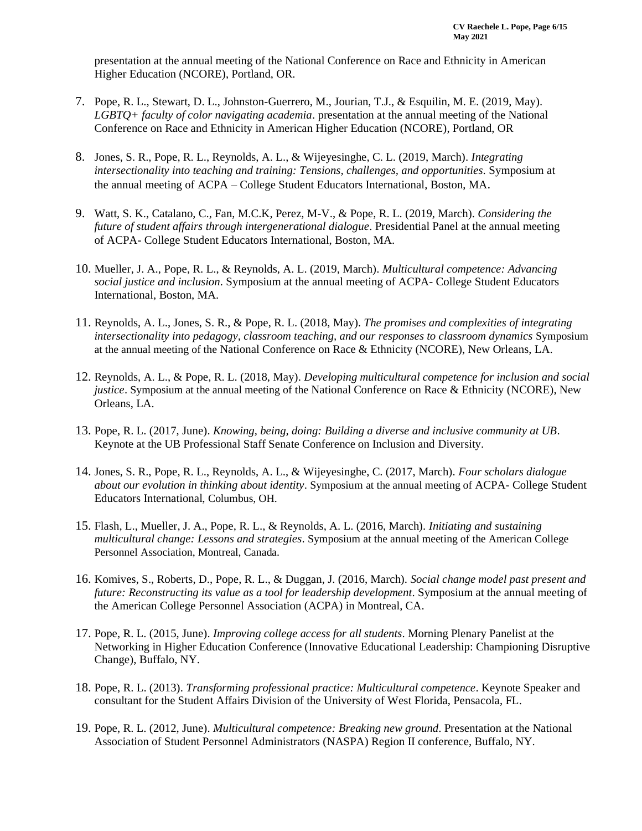presentation at the annual meeting of the National Conference on Race and Ethnicity in American Higher Education (NCORE), Portland, OR.

- 7. Pope, R. L., Stewart, D. L., Johnston-Guerrero, M., Jourian, T.J., & Esquilin, M. E. (2019, May). *LGBTQ+ faculty of color navigating academia*. presentation at the annual meeting of the National Conference on Race and Ethnicity in American Higher Education (NCORE), Portland, OR
- 8. Jones, S. R., Pope, R. L., Reynolds, A. L., & Wijeyesinghe, C. L. (2019, March). *Integrating intersectionality into teaching and training: Tensions, challenges, and opportunities.* Symposium at the annual meeting of ACPA – College Student Educators International, Boston, MA.
- 9. Watt, S. K., Catalano, C., Fan, M.C.K, Perez, M-V., & Pope, R. L. (2019, March). *Considering the future of student affairs through intergenerational dialogue*. Presidential Panel at the annual meeting of ACPA- College Student Educators International, Boston, MA.
- 10. Mueller, J. A., Pope, R. L., & Reynolds, A. L. (2019, March). *Multicultural competence: Advancing social justice and inclusion*. Symposium at the annual meeting of ACPA- College Student Educators International, Boston, MA.
- 11. Reynolds, A. L., Jones, S. R., & Pope, R. L. (2018, May). *The promises and complexities of integrating intersectionality into pedagogy, classroom teaching, and our responses to classroom dynamics* Symposium at the annual meeting of the National Conference on Race & Ethnicity (NCORE), New Orleans, LA.
- 12. Reynolds, A. L., & Pope, R. L. (2018, May). *Developing multicultural competence for inclusion and social justice*. Symposium at the annual meeting of the National Conference on Race & Ethnicity (NCORE), New Orleans, LA.
- 13. Pope, R. L. (2017, June). *Knowing, being, doing: Building a diverse and inclusive community at UB*. Keynote at the UB Professional Staff Senate Conference on Inclusion and Diversity.
- 14. Jones, S. R., Pope, R. L., Reynolds, A. L., & Wijeyesinghe, C. (2017, March). *Four scholars dialogue about our evolution in thinking about identity*. Symposium at the annual meeting of ACPA- College Student Educators International, Columbus, OH.
- 15. Flash, L., Mueller, J. A., Pope, R. L., & Reynolds, A. L. (2016, March). *Initiating and sustaining multicultural change: Lessons and strategies*. Symposium at the annual meeting of the American College Personnel Association, Montreal, Canada.
- 16. Komives, S., Roberts, D., Pope, R. L., & Duggan, J. (2016, March). *Social change model past present and future: Reconstructing its value as a tool for leadership development*. Symposium at the annual meeting of the American College Personnel Association (ACPA) in Montreal, CA.
- 17. Pope, R. L. (2015, June). *Improving college access for all students*. Morning Plenary Panelist at the Networking in Higher Education Conference (Innovative Educational Leadership: Championing Disruptive Change), Buffalo, NY.
- 18. Pope, R. L. (2013). *Transforming professional practice: Multicultural competence*. Keynote Speaker and consultant for the Student Affairs Division of the University of West Florida, Pensacola, FL.
- 19. Pope, R. L. (2012, June). *Multicultural competence: Breaking new ground*. Presentation at the National Association of Student Personnel Administrators (NASPA) Region II conference, Buffalo, NY.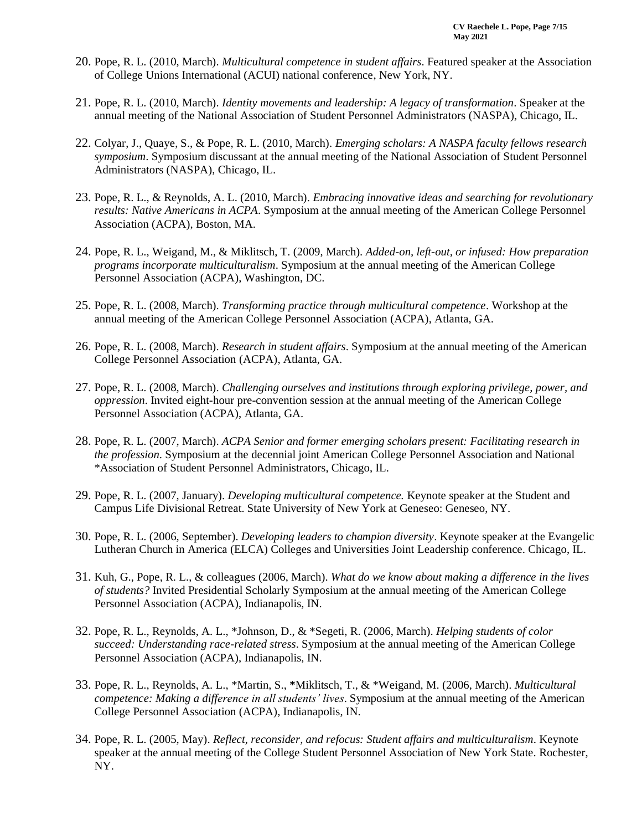- 20. Pope, R. L. (2010, March). *Multicultural competence in student affairs*. Featured speaker at the Association of College Unions International (ACUI) national conference, New York, NY.
- 21. Pope, R. L. (2010, March). *Identity movements and leadership: A legacy of transformation*. Speaker at the annual meeting of the National Association of Student Personnel Administrators (NASPA), Chicago, IL.
- 22. Colyar, J., Quaye, S., & Pope, R. L. (2010, March). *Emerging scholars: A NASPA faculty fellows research symposium*. Symposium discussant at the annual meeting of the National Association of Student Personnel Administrators (NASPA), Chicago, IL.
- 23. Pope, R. L., & Reynolds, A. L. (2010, March). *Embracing innovative ideas and searching for revolutionary results: Native Americans in ACPA*. Symposium at the annual meeting of the American College Personnel Association (ACPA), Boston, MA.
- 24. Pope, R. L., Weigand, M., & Miklitsch, T. (2009, March). *Added-on, left-out, or infused: How preparation programs incorporate multiculturalism*. Symposium at the annual meeting of the American College Personnel Association (ACPA), Washington, DC.
- 25. Pope, R. L. (2008, March). *Transforming practice through multicultural competence*. Workshop at the annual meeting of the American College Personnel Association (ACPA), Atlanta, GA.
- 26. Pope, R. L. (2008, March). *Research in student affairs*. Symposium at the annual meeting of the American College Personnel Association (ACPA), Atlanta, GA.
- 27. Pope, R. L. (2008, March). *Challenging ourselves and institutions through exploring privilege, power, and oppression*. Invited eight-hour pre-convention session at the annual meeting of the American College Personnel Association (ACPA), Atlanta, GA.
- 28. Pope, R. L. (2007, March). *ACPA Senior and former emerging scholars present: Facilitating research in the profession*. Symposium at the decennial joint American College Personnel Association and National \*Association of Student Personnel Administrators, Chicago, IL.
- 29. Pope, R. L. (2007, January). *Developing multicultural competence.* Keynote speaker at the Student and Campus Life Divisional Retreat. State University of New York at Geneseo: Geneseo, NY.
- 30. Pope, R. L. (2006, September). *Developing leaders to champion diversity*. Keynote speaker at the Evangelic Lutheran Church in America (ELCA) Colleges and Universities Joint Leadership conference. Chicago, IL.
- 31. Kuh, G., Pope, R. L., & colleagues (2006, March). *What do we know about making a difference in the lives of students?* Invited Presidential Scholarly Symposium at the annual meeting of the American College Personnel Association (ACPA), Indianapolis, IN.
- 32. Pope, R. L., Reynolds, A. L., \*Johnson, D., & \*Segeti, R. (2006, March). *Helping students of color succeed: Understanding race-related stress*. Symposium at the annual meeting of the American College Personnel Association (ACPA), Indianapolis, IN.
- 33. Pope, R. L., Reynolds, A. L., \*Martin, S., **\***Miklitsch, T., & \*Weigand, M. (2006, March). *Multicultural competence: Making a difference in all students' lives*. Symposium at the annual meeting of the American College Personnel Association (ACPA), Indianapolis, IN.
- 34. Pope, R. L. (2005, May). *Reflect, reconsider, and refocus: Student affairs and multiculturalism*. Keynote speaker at the annual meeting of the College Student Personnel Association of New York State. Rochester, NY.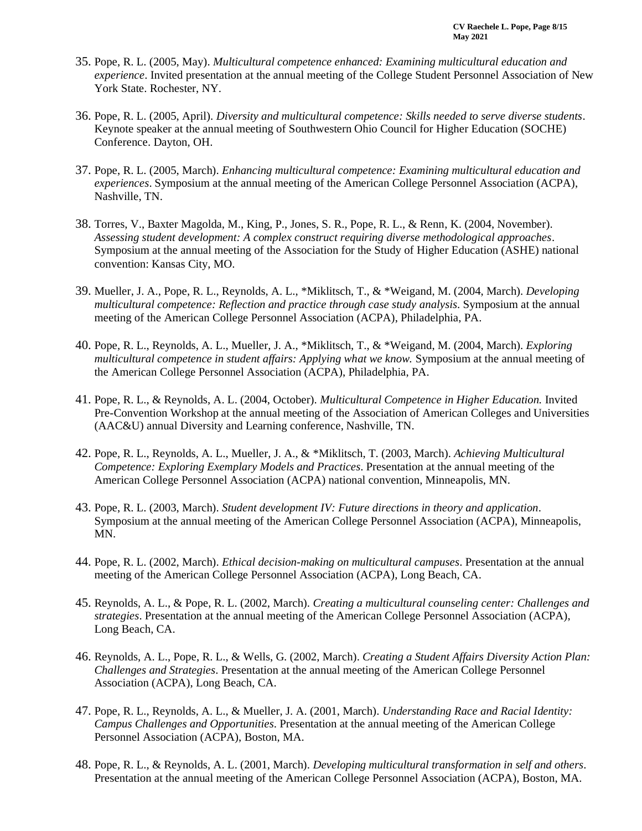- 35. Pope, R. L. (2005, May). *Multicultural competence enhanced: Examining multicultural education and experience*. Invited presentation at the annual meeting of the College Student Personnel Association of New York State. Rochester, NY.
- 36. Pope, R. L. (2005, April). *Diversity and multicultural competence: Skills needed to serve diverse students*. Keynote speaker at the annual meeting of Southwestern Ohio Council for Higher Education (SOCHE) Conference. Dayton, OH.
- 37. Pope, R. L. (2005, March). *Enhancing multicultural competence: Examining multicultural education and experiences*. Symposium at the annual meeting of the American College Personnel Association (ACPA), Nashville, TN.
- 38. Torres, V., Baxter Magolda, M., King, P., Jones, S. R., Pope, R. L., & Renn, K. (2004, November). *Assessing student development: A complex construct requiring diverse methodological approaches*. Symposium at the annual meeting of the Association for the Study of Higher Education (ASHE) national convention: Kansas City, MO.
- 39. Mueller, J. A., Pope, R. L., Reynolds, A. L., \*Miklitsch, T., & \*Weigand, M. (2004, March). *Developing multicultural competence: Reflection and practice through case study analysis*. Symposium at the annual meeting of the American College Personnel Association (ACPA), Philadelphia, PA.
- 40. Pope, R. L., Reynolds, A. L., Mueller, J. A., \*Miklitsch, T., & \*Weigand, M. (2004, March). *Exploring multicultural competence in student affairs: Applying what we know. Symposium at the annual meeting of* the American College Personnel Association (ACPA), Philadelphia, PA.
- 41. Pope, R. L., & Reynolds, A. L. (2004, October). *Multicultural Competence in Higher Education.* Invited Pre-Convention Workshop at the annual meeting of the Association of American Colleges and Universities (AAC&U) annual Diversity and Learning conference, Nashville, TN.
- 42. Pope, R. L., Reynolds, A. L., Mueller, J. A., & \*Miklitsch, T. (2003, March). *Achieving Multicultural Competence: Exploring Exemplary Models and Practices*. Presentation at the annual meeting of the American College Personnel Association (ACPA) national convention, Minneapolis, MN.
- 43. Pope, R. L. (2003, March). *Student development IV: Future directions in theory and application*. Symposium at the annual meeting of the American College Personnel Association (ACPA), Minneapolis, MN.
- 44. Pope, R. L. (2002, March). *Ethical decision-making on multicultural campuses*. Presentation at the annual meeting of the American College Personnel Association (ACPA), Long Beach, CA.
- 45. Reynolds, A. L., & Pope, R. L. (2002, March). *Creating a multicultural counseling center: Challenges and strategies*. Presentation at the annual meeting of the American College Personnel Association (ACPA), Long Beach, CA.
- 46. Reynolds, A. L., Pope, R. L., & Wells, G. (2002, March). *Creating a Student Affairs Diversity Action Plan: Challenges and Strategies*. Presentation at the annual meeting of the American College Personnel Association (ACPA), Long Beach, CA.
- 47. Pope, R. L., Reynolds, A. L., & Mueller, J. A. (2001, March). *Understanding Race and Racial Identity: Campus Challenges and Opportunities*. Presentation at the annual meeting of the American College Personnel Association (ACPA), Boston, MA.
- 48. Pope, R. L., & Reynolds, A. L. (2001, March). *Developing multicultural transformation in self and others*. Presentation at the annual meeting of the American College Personnel Association (ACPA), Boston, MA.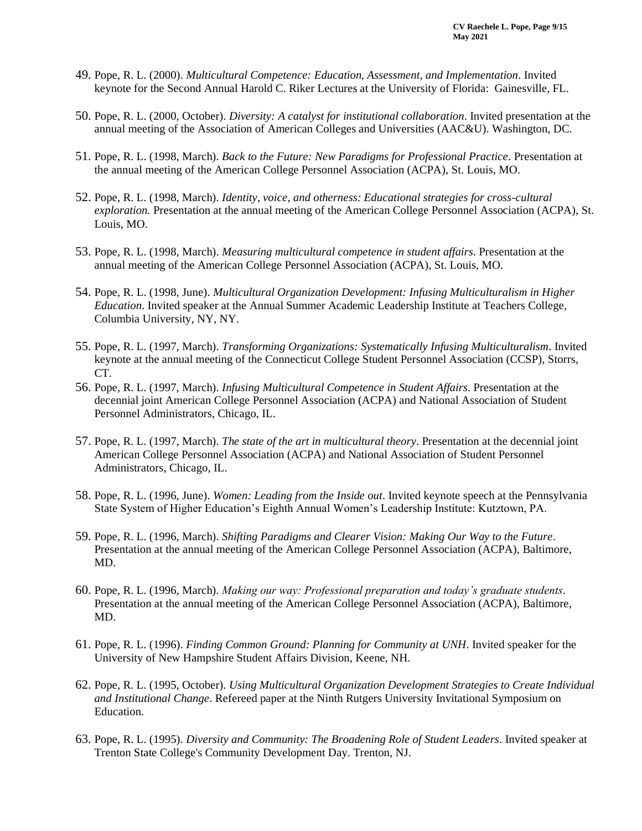- 49. Pope, R. L. (2000). *Multicultural Competence: Education, Assessment, and Implementation*. Invited keynote for the Second Annual Harold C. Riker Lectures at the University of Florida: Gainesville, FL.
- 50. Pope, R. L. (2000, October). *Diversity: A catalyst for institutional collaboration*. Invited presentation at the annual meeting of the Association of American Colleges and Universities (AAC&U). Washington, DC.
- 51. Pope, R. L. (1998, March). *Back to the Future: New Paradigms for Professional Practice*. Presentation at the annual meeting of the American College Personnel Association (ACPA), St. Louis, MO.
- 52. Pope, R. L. (1998, March). *Identity, voice, and otherness: Educational strategies for cross-cultural exploration.* Presentation at the annual meeting of the American College Personnel Association (ACPA), St. Louis, MO.
- 53. Pope, R. L. (1998, March). *Measuring multicultural competence in student affairs*. Presentation at the annual meeting of the American College Personnel Association (ACPA), St. Louis, MO.
- 54. Pope, R. L. (1998, June). *Multicultural Organization Development: Infusing Multiculturalism in Higher Education*. Invited speaker at the Annual Summer Academic Leadership Institute at Teachers College, Columbia University, NY, NY.
- 55. Pope, R. L. (1997, March). *Transforming Organizations: Systematically Infusing Multiculturalism*. Invited keynote at the annual meeting of the Connecticut College Student Personnel Association (CCSP), Storrs, CT.
- 56. Pope, R. L. (1997, March). *Infusing Multicultural Competence in Student Affairs*. Presentation at the decennial joint American College Personnel Association (ACPA) and National Association of Student Personnel Administrators, Chicago, IL.
- 57. Pope, R. L. (1997, March). *The state of the art in multicultural theory*. Presentation at the decennial joint American College Personnel Association (ACPA) and National Association of Student Personnel Administrators, Chicago, IL.
- 58. Pope, R. L. (1996, June). *Women: Leading from the Inside out*. Invited keynote speech at the Pennsylvania State System of Higher Education's Eighth Annual Women's Leadership Institute: Kutztown, PA.
- 59. Pope, R. L. (1996, March). *Shifting Paradigms and Clearer Vision: Making Our Way to the Future*. Presentation at the annual meeting of the American College Personnel Association (ACPA), Baltimore, MD.
- 60. Pope, R. L. (1996, March). *Making our way: Professional preparation and today's graduate students*. Presentation at the annual meeting of the American College Personnel Association (ACPA), Baltimore, MD.
- 61. Pope, R. L. (1996). *Finding Common Ground: Planning for Community at UNH*. Invited speaker for the University of New Hampshire Student Affairs Division, Keene, NH.
- 62. Pope, R. L. (1995, October). *Using Multicultural Organization Development Strategies to Create Individual and Institutional Change*. Refereed paper at the Ninth Rutgers University Invitational Symposium on Education.
- 63. Pope, R. L. (1995). *Diversity and Community: The Broadening Role of Student Leaders*. Invited speaker at Trenton State College's Community Development Day. Trenton, NJ.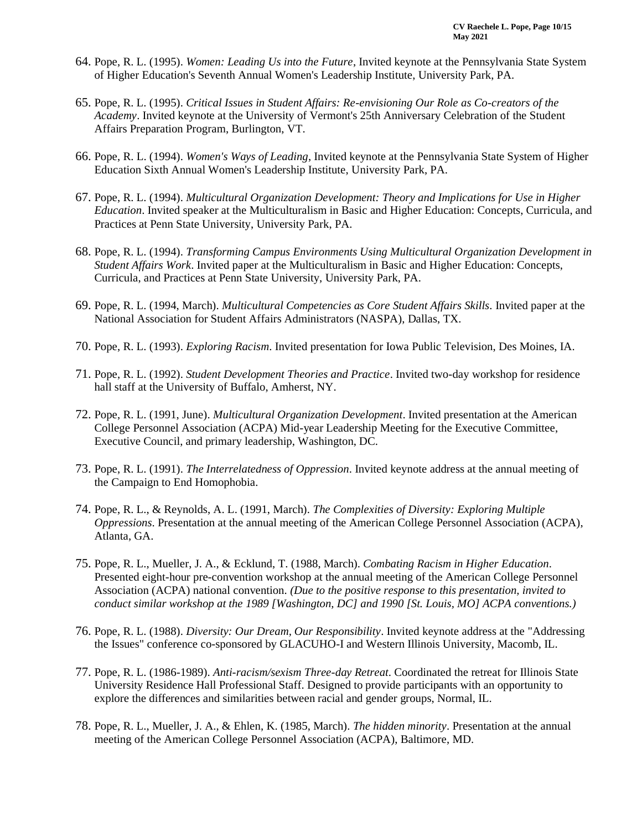- 64. Pope, R. L. (1995). *Women: Leading Us into the Future*, Invited keynote at the Pennsylvania State System of Higher Education's Seventh Annual Women's Leadership Institute, University Park, PA.
- 65. Pope, R. L. (1995). *Critical Issues in Student Affairs: Re-envisioning Our Role as Co-creators of the Academy*. Invited keynote at the University of Vermont's 25th Anniversary Celebration of the Student Affairs Preparation Program, Burlington, VT.
- 66. Pope, R. L. (1994). *Women's Ways of Leading*, Invited keynote at the Pennsylvania State System of Higher Education Sixth Annual Women's Leadership Institute, University Park, PA.
- 67. Pope, R. L. (1994). *Multicultural Organization Development: Theory and Implications for Use in Higher Education*. Invited speaker at the Multiculturalism in Basic and Higher Education: Concepts, Curricula, and Practices at Penn State University, University Park, PA.
- 68. Pope, R. L. (1994). *Transforming Campus Environments Using Multicultural Organization Development in Student Affairs Work*. Invited paper at the Multiculturalism in Basic and Higher Education: Concepts, Curricula, and Practices at Penn State University, University Park, PA.
- 69. Pope, R. L. (1994, March). *Multicultural Competencies as Core Student Affairs Skills*. Invited paper at the National Association for Student Affairs Administrators (NASPA), Dallas, TX.
- 70. Pope, R. L. (1993). *Exploring Racism*. Invited presentation for Iowa Public Television, Des Moines, IA.
- 71. Pope, R. L. (1992). *Student Development Theories and Practice*. Invited two-day workshop for residence hall staff at the University of Buffalo, Amherst, NY.
- 72. Pope, R. L. (1991, June). *Multicultural Organization Development*. Invited presentation at the American College Personnel Association (ACPA) Mid-year Leadership Meeting for the Executive Committee, Executive Council, and primary leadership, Washington, DC.
- 73. Pope, R. L. (1991). *The Interrelatedness of Oppression*. Invited keynote address at the annual meeting of the Campaign to End Homophobia.
- 74. Pope, R. L., & Reynolds, A. L. (1991, March). *The Complexities of Diversity: Exploring Multiple Oppressions*. Presentation at the annual meeting of the American College Personnel Association (ACPA), Atlanta, GA.
- 75. Pope, R. L., Mueller, J. A., & Ecklund, T. (1988, March). *Combating Racism in Higher Education*. Presented eight-hour pre-convention workshop at the annual meeting of the American College Personnel Association (ACPA) national convention. *(Due to the positive response to this presentation, invited to conduct similar workshop at the 1989 [Washington, DC] and 1990 [St. Louis, MO] ACPA conventions.)*
- 76. Pope, R. L. (1988). *Diversity: Our Dream, Our Responsibility*. Invited keynote address at the "Addressing the Issues" conference co-sponsored by GLACUHO-I and Western Illinois University, Macomb, IL.
- 77. Pope, R. L. (1986-1989). *Anti-racism/sexism Three-day Retreat*. Coordinated the retreat for Illinois State University Residence Hall Professional Staff. Designed to provide participants with an opportunity to explore the differences and similarities between racial and gender groups, Normal, IL.
- 78. Pope, R. L., Mueller, J. A., & Ehlen, K. (1985, March). *The hidden minority*. Presentation at the annual meeting of the American College Personnel Association (ACPA), Baltimore, MD.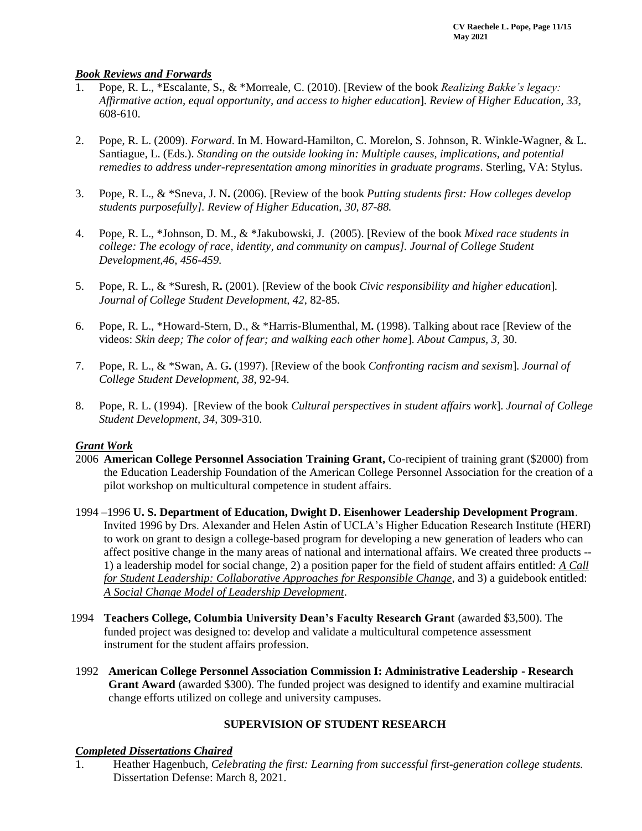### *Book Reviews and Forwards*

- 1. Pope, R. L., \*Escalante, S**.**, & \*Morreale, C. (2010). [Review of the book *Realizing Bakke's legacy: Affirmative action, equal opportunity, and access to higher education*]. *Review of Higher Education, 33,*  608-610.
- 2. Pope, R. L. (2009). *Forward*. In M. Howard-Hamilton, C. Morelon, S. Johnson, R. Winkle-Wagner, & L. Santiague, L. (Eds.). *Standing on the outside looking in: Multiple causes, implications, and potential remedies to address under-representation among minorities in graduate programs*. Sterling, VA: Stylus.
- 3. Pope, R. L., & \*Sneva, J. N**.** (2006). [Review of the book *Putting students first: How colleges develop students purposefully]. Review of Higher Education, 30, 87-88.*
- 4. Pope, R. L., \*Johnson, D. M., & \*Jakubowski, J. (2005). [Review of the book *Mixed race students in college: The ecology of race, identity, and community on campus]. Journal of College Student Development,46, 456-459.*
- 5. Pope, R. L., & \*Suresh, R**.** (2001). [Review of the book *Civic responsibility and higher education*]*. Journal of College Student Development, 42*, 82-85.
- 6. Pope, R. L., \*Howard-Stern, D., & \*Harris-Blumenthal, M**.** (1998). Talking about race [Review of the videos: *Skin deep; The color of fear; and walking each other home*]. *About Campus, 3,* 30.
- 7. Pope, R. L., & \*Swan, A. G**.** (1997). [Review of the book *Confronting racism and sexism*]. *Journal of College Student Development, 38*, 92-94.
- 8. Pope, R. L. (1994). [Review of the book *Cultural perspectives in student affairs work*]. *Journal of College Student Development, 34*, 309-310.

### *Grant Work*

- 2006 **American College Personnel Association Training Grant,** Co-recipient of training grant (\$2000) from the Education Leadership Foundation of the American College Personnel Association for the creation of a pilot workshop on multicultural competence in student affairs.
- 1994 –1996 **U. S. Department of Education, Dwight D. Eisenhower Leadership Development Program**. Invited 1996 by Drs. Alexander and Helen Astin of UCLA's Higher Education Research Institute (HERI) to work on grant to design a college-based program for developing a new generation of leaders who can affect positive change in the many areas of national and international affairs. We created three products -- 1) a leadership model for social change, 2) a position paper for the field of student affairs entitled: *A Call for Student Leadership: Collaborative Approaches for Responsible Change*, and 3) a guidebook entitled: *A Social Change Model of Leadership Development*.
- 1994 **Teachers College, Columbia University Dean's Faculty Research Grant** (awarded \$3,500). The funded project was designed to: develop and validate a multicultural competence assessment instrument for the student affairs profession.
- 1992 **American College Personnel Association Commission I: Administrative Leadership - Research Grant Award** (awarded \$300). The funded project was designed to identify and examine multiracial change efforts utilized on college and university campuses.

## **SUPERVISION OF STUDENT RESEARCH**

### *Completed Dissertations Chaired*

1. Heather Hagenbuch, *Celebrating the first: Learning from successful first-generation college students.*  Dissertation Defense: March 8, 2021.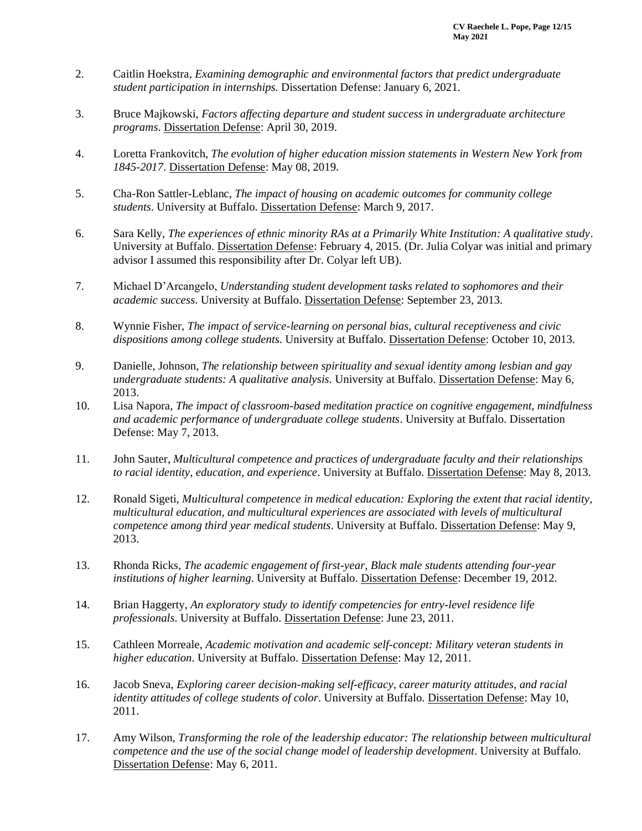- 2. Caitlin Hoekstra, *Examining demographic and environmental factors that predict undergraduate student participation in internships.* Dissertation Defense: January 6, 2021.
- 3. Bruce Majkowski, *Factors affecting departure and student success in undergraduate architecture programs*. Dissertation Defense: April 30, 2019.
- 4. Loretta Frankovitch, *The evolution of higher education mission statements in Western New York from 1845-2017*. Dissertation Defense: May 08, 2019.
- 5. Cha-Ron Sattler-Leblanc, *The impact of housing on academic outcomes for community college students*. University at Buffalo. Dissertation Defense: March 9, 2017.
- 6. Sara Kelly, *The experiences of ethnic minority RAs at a Primarily White Institution: A qualitative study*. University at Buffalo. Dissertation Defense: February 4, 2015. (Dr. Julia Colyar was initial and primary advisor I assumed this responsibility after Dr. Colyar left UB).
- 7. Michael D'Arcangelo, *Understanding student development tasks related to sophomores and their academic success*. University at Buffalo. Dissertation Defense: September 23, 2013.
- 8. Wynnie Fisher, *The impact of service-learning on personal bias, cultural receptiveness and civic dispositions among college students*. University at Buffalo. Dissertation Defense: October 10, 2013.
- 9. Danielle, Johnson, *The relationship between spirituality and sexual identity among lesbian and gay undergraduate students: A qualitative analysis*. University at Buffalo. Dissertation Defense: May 6, 2013.
- 10. Lisa Napora, *The impact of classroom-based meditation practice on cognitive engagement, mindfulness and academic performance of undergraduate college students*. University at Buffalo. Dissertation Defense: May 7, 2013.
- 11. John Sauter, *Multicultural competence and practices of undergraduate faculty and their relationships to racial identity, education, and experience*. University at Buffalo. Dissertation Defense: May 8, 2013.
- 12. Ronald Sigeti, *Multicultural competence in medical education: Exploring the extent that racial identity, multicultural education, and multicultural experiences are associated with levels of multicultural competence among third year medical students*. University at Buffalo. Dissertation Defense: May 9, 2013.
- 13. Rhonda Ricks, *The academic engagement of first-year, Black male students attending four-year institutions of higher learning*. University at Buffalo. Dissertation Defense: December 19, 2012.
- 14. Brian Haggerty, *An exploratory study to identify competencies for entry-level residence life professionals*. University at Buffalo. Dissertation Defense: June 23, 2011.
- 15. Cathleen Morreale, *Academic motivation and academic self-concept: Military veteran students in higher education*. University at Buffalo. Dissertation Defense: May 12, 2011.
- 16. Jacob Sneva, *Exploring career decision-making self-efficacy, career maturity attitudes, and racial identity attitudes of college students of color*. University at Buffalo. Dissertation Defense: May 10, 2011.
- 17. Amy Wilson, *Transforming the role of the leadership educator: The relationship between multicultural competence and the use of the social change model of leadership development*. University at Buffalo. Dissertation Defense: May 6, 2011.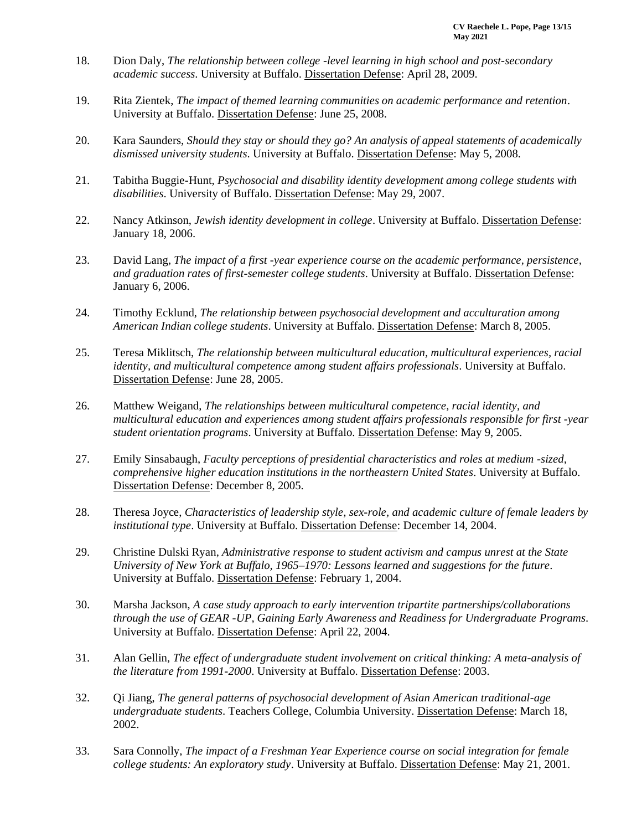- 18. Dion Daly, *The relationship between college -level learning in high school and post-secondary academic success*. University at Buffalo. Dissertation Defense: April 28, 2009.
- 19. Rita Zientek, *The impact of themed learning communities on academic performance and retention*. University at Buffalo. Dissertation Defense: June 25, 2008.
- 20. Kara Saunders, *Should they stay or should they go? An analysis of appeal statements of academically dismissed university students*. University at Buffalo. Dissertation Defense: May 5, 2008.
- 21. Tabitha Buggie-Hunt, *Psychosocial and disability identity development among college students with disabilities*. University of Buffalo. Dissertation Defense: May 29, 2007.
- 22. Nancy Atkinson, *Jewish identity development in college*. University at Buffalo. Dissertation Defense: January 18, 2006.
- 23. David Lang, *The impact of a first -year experience course on the academic performance, persistence, and graduation rates of first-semester college students*. University at Buffalo. Dissertation Defense: January 6, 2006.
- 24. Timothy Ecklund, *The relationship between psychosocial development and acculturation among American Indian college students*. University at Buffalo. Dissertation Defense: March 8, 2005.
- 25. Teresa Miklitsch, *The relationship between multicultural education, multicultural experiences, racial identity, and multicultural competence among student affairs professionals*. University at Buffalo. Dissertation Defense: June 28, 2005.
- 26. Matthew Weigand, *The relationships between multicultural competence, racial identity, and multicultural education and experiences among student affairs professionals responsible for first -year student orientation programs*. University at Buffalo. Dissertation Defense: May 9, 2005.
- 27. Emily Sinsabaugh, *Faculty perceptions of presidential characteristics and roles at medium -sized, comprehensive higher education institutions in the northeastern United States*. University at Buffalo. Dissertation Defense: December 8, 2005.
- 28. Theresa Joyce, *Characteristics of leadership style, sex-role, and academic culture of female leaders by institutional type*. University at Buffalo. Dissertation Defense: December 14, 2004.
- 29. Christine Dulski Ryan, *Administrative response to student activism and campus unrest at the State University of New York at Buffalo, 1965–1970: Lessons learned and suggestions for the future*. University at Buffalo. Dissertation Defense: February 1, 2004.
- 30. Marsha Jackson, *A case study approach to early intervention tripartite partnerships/collaborations through the use of GEAR -UP, Gaining Early Awareness and Readiness for Undergraduate Programs*. University at Buffalo. Dissertation Defense: April 22, 2004.
- 31. Alan Gellin, *The effect of undergraduate student involvement on critical thinking: A meta-analysis of the literature from 1991-2000*. University at Buffalo. Dissertation Defense: 2003.
- 32. Qi Jiang, *The general patterns of psychosocial development of Asian American traditional-age undergraduate students*. Teachers College, Columbia University. Dissertation Defense: March 18, 2002.
- 33. Sara Connolly, *The impact of a Freshman Year Experience course on social integration for female college students: An exploratory study*. University at Buffalo. Dissertation Defense: May 21, 2001.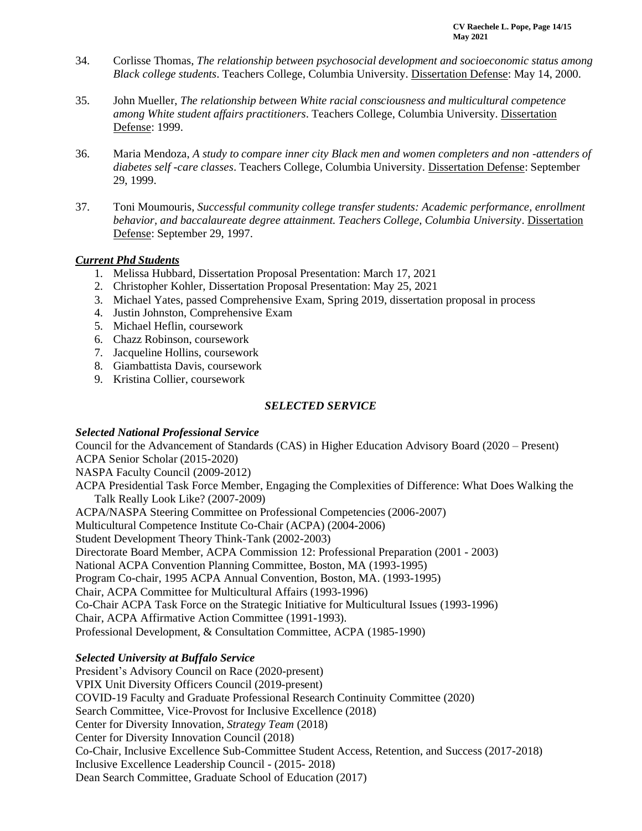- 34. Corlisse Thomas, *The relationship between psychosocial development and socioeconomic status among Black college students*. Teachers College, Columbia University. Dissertation Defense: May 14, 2000.
- 35. John Mueller, *The relationship between White racial consciousness and multicultural competence among White student affairs practitioners*. Teachers College, Columbia University. Dissertation Defense: 1999.
- 36. Maria Mendoza, *A study to compare inner city Black men and women completers and non -attenders of diabetes self -care classes*. Teachers College, Columbia University. Dissertation Defense: September 29, 1999.
- 37. Toni Moumouris, *Successful community college transfer students: Academic performance, enrollment behavior, and baccalaureate degree attainment. Teachers College, Columbia University*. Dissertation Defense: September 29, 1997.

### *Current Phd Students*

- 1. Melissa Hubbard, Dissertation Proposal Presentation: March 17, 2021
- 2. Christopher Kohler, Dissertation Proposal Presentation: May 25, 2021
- 3. Michael Yates, passed Comprehensive Exam, Spring 2019, dissertation proposal in process
- 4. Justin Johnston, Comprehensive Exam
- 5. Michael Heflin, coursework
- 6. Chazz Robinson, coursework
- 7. Jacqueline Hollins, coursework
- 8. Giambattista Davis, coursework
- 9. Kristina Collier, coursework

### *SELECTED SERVICE*

### *Selected National Professional Service*

Council for the Advancement of Standards (CAS) in Higher Education Advisory Board (2020 – Present) ACPA Senior Scholar (2015-2020)

NASPA Faculty Council (2009-2012)

ACPA Presidential Task Force Member, Engaging the Complexities of Difference: What Does Walking the Talk Really Look Like? (2007-2009)

ACPA/NASPA Steering Committee on Professional Competencies (2006-2007) Multicultural Competence Institute Co-Chair (ACPA) (2004-2006) Student Development Theory Think-Tank (2002-2003) Directorate Board Member, ACPA Commission 12: Professional Preparation (2001 - 2003) National ACPA Convention Planning Committee, Boston, MA (1993-1995) Program Co-chair, 1995 ACPA Annual Convention, Boston, MA. (1993-1995) Chair, ACPA Committee for Multicultural Affairs (1993-1996) Co-Chair ACPA Task Force on the Strategic Initiative for Multicultural Issues (1993-1996) Chair, ACPA Affirmative Action Committee (1991-1993). Professional Development, & Consultation Committee, ACPA (1985-1990)

## *Selected University at Buffalo Service*

President's Advisory Council on Race (2020-present) VPIX Unit Diversity Officers Council (2019-present) COVID-19 Faculty and Graduate Professional Research Continuity Committee (2020) Search Committee, Vice-Provost for Inclusive Excellence (2018) Center for Diversity Innovation, *Strategy Team* (2018) Center for Diversity Innovation Council (2018) Co-Chair, Inclusive Excellence Sub-Committee Student Access, Retention, and Success (2017-2018) Inclusive Excellence Leadership Council - (2015- 2018) Dean Search Committee, Graduate School of Education (2017)